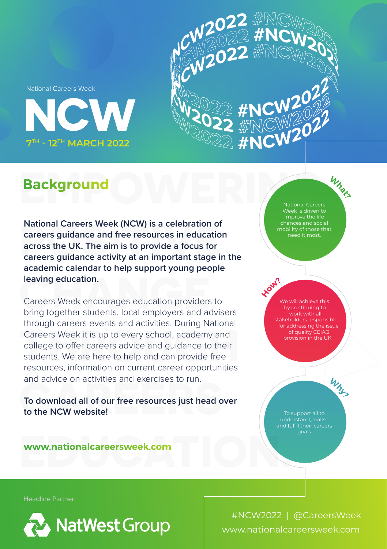**National Careers Week** 





## **Background**

**National Careers Week (NCW) is a celebration of careers guidance and free resources in education across the UK. The aim is to provide a focus for careers guidance activity at an important stage in the academic calendar to help support young people leaving education.**

Careers Week encourages education providers to bring together students, local employers and advisers through careers events and activities. During National Careers Week it is up to every school, academy and college to offer careers advice and guidance to their students. We are here to help and can provide free resources, information on current career opportunities and advice on activities and exercises to run.

**To download all of our free resources just head over to the NCW website!**

Whors National Careers Week is driven to improve the life chances and social mobility of those that

We will achieve this work with all stakeholders responsible for addressing the issue provision in the UK.

> To support all to understand, realise and fulfil their careers goals

Why

www.nationalcareersweek.com

Headline Partner:



www.nationalcareersweek.com #NCW2022 | @CareersWeek